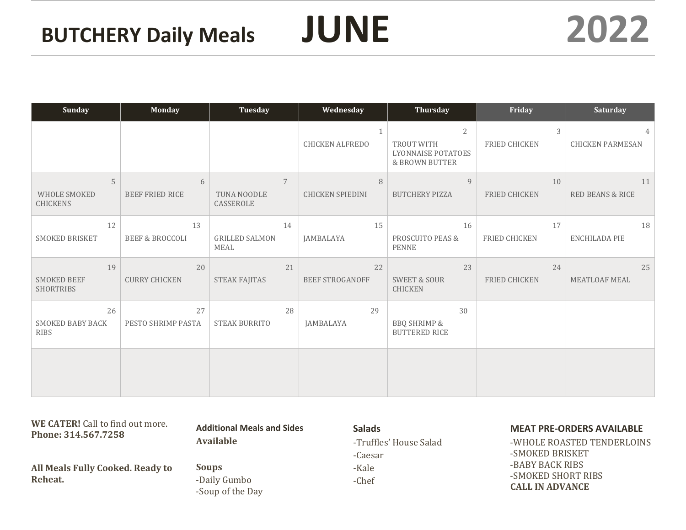BEEF STROGANOFF

| <b>Sunday</b>                                | <b>Monday</b>                    | <b>Tuesday</b>                             | Wednesday                    | Thursday                                                                               | Friday                     | Saturday                                 |
|----------------------------------------------|----------------------------------|--------------------------------------------|------------------------------|----------------------------------------------------------------------------------------|----------------------------|------------------------------------------|
|                                              |                                  |                                            | CHICKEN ALFREDO              | $\overline{2}$<br>TROUT WITH<br><b>LYONNAISE POTATOES</b><br><b>&amp; BROWN BUTTER</b> | 3<br>FRIED CHICKEN         | $\mathcal{A}$<br><b>CHICKEN PARMESAN</b> |
| 5<br><b>WHOLE SMOKED</b><br><b>CHICKENS</b>  | 6<br>BEEF FRIED RICE             | $\overline{7}$<br>TUNA NOODLE<br>CASSEROLE | 8<br><b>CHICKEN SPIEDINI</b> | $\overline{9}$<br><b>BUTCHERY PIZZA</b>                                                | 10<br><b>FRIED CHICKEN</b> | 11<br><b>RED BEANS &amp; RICE</b>        |
| 12<br><b>SMOKED BRISKET</b>                  | 13<br><b>BEEF &amp; BROCCOLI</b> | 14<br><b>GRILLED SALMON</b><br><b>MEAL</b> | 15<br><b>JAMBALAYA</b>       | 16<br><b>PROSCUITO PEAS &amp;</b><br><b>PENNE</b>                                      | 17<br><b>FRIED CHICKEN</b> | 18<br><b>ENCHILADA PIE</b>               |
| 19<br><b>SMOKED BEEF</b><br><b>SHORTRIBS</b> | 20<br><b>CURRY CHICKEN</b>       | 21<br><b>STEAK FAJITAS</b>                 | 22<br><b>BEEF STROGANOFF</b> | 23<br><b>SWEET &amp; SOUR</b><br><b>CHICKEN</b>                                        | 24<br><b>FRIED CHICKEN</b> | 25<br>MEATLOAF MEAL                      |
| 26<br><b>SMOKED BABY BACK</b><br><b>RIBS</b> | 27<br>PESTO SHRIMP PASTA         | 28<br><b>STEAK BURRITO</b>                 | 29<br><b>JAMBALAYA</b>       | 30<br><b>BBQ SHRIMP &amp;</b><br><b>BUTTERED RICE</b>                                  |                            |                                          |
|                                              |                                  |                                            |                              |                                                                                        |                            |                                          |

| WE CATER! Call to find out more.<br>Phone: 314.567.7258 | <b>Additional Meals and Sides</b>                | <b>Salads</b>          | <b>MEAT PRE-ORDERS AVAILABLE</b>             |  |
|---------------------------------------------------------|--------------------------------------------------|------------------------|----------------------------------------------|--|
|                                                         | <b>Available</b>                                 | -Truffles' House Salad | -WHOLE ROASTED TENDERLOINS                   |  |
|                                                         |                                                  | -Caesar                | -SMOKED BRISKET                              |  |
| All Meals Fully Cooked. Ready to                        | <b>Soups</b><br>-Daily Gumbo<br>-Soup of the Day | -Kale                  | -BABY BACK RIBS                              |  |
| Reheat.                                                 |                                                  | -Chef                  | -SMOKED SHORT RIBS<br><b>CALL IN ADVANCE</b> |  |